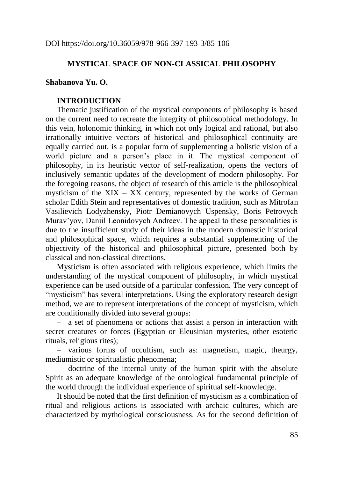## **MYSTICAL SPACE OF NON-CLASSICAL PHILOSOPHY**

### **Shabanova Yu. O.**

#### **INTRODUCTION**

Thematic justification of the mystical components of philosophy is based on the current need to recreate the integrity of philosophical methodology. In this vein, holonomic thinking, in which not only logical and rational, but also irrationally intuitive vectors of historical and philosophical continuity are equally carried out, is a popular form of supplementing a holistic vision of a world picture and a person's place in it. The mystical component of philosophy, in its heuristic vector of self-realization, opens the vectors of inclusively semantic updates of the development of modern philosophy. For the foregoing reasons, the object of research of this article is the philosophical mysticism of the  $XIX - XX$  century, represented by the works of German scholar Edith Stein and representatives of domestic tradition, such as Mitrofan Vasilievich Lodyzhensky, Piotr Demianovych Uspensky, Boris Petrovych Murav'yov, Daniil Leonidovych Andreev. The appeal to these personalities is due to the insufficient study of their ideas in the modern domestic historical and philosophical space, which requires a substantial supplementing of the objectivity of the historical and philosophical picture, presented both by classical and non-classical directions.

Mysticism is often associated with religious experience, which limits the understanding of the mystical component of philosophy, in which mystical experience can be used outside of a particular confession. The very concept of "mysticism" has several interpretations. Using the exploratory research design method, we are to represent interpretations of the concept of mysticism, which are conditionally divided into several groups:

‒ a set of phenomena or actions that assist a person in interaction with secret creatures or forces (Egyptian or Eleusinian mysteries, other esoteric rituals, religious rites);

‒ various forms of occultism, such as: magnetism, magic, theurgy, mediumistic or spiritualistic phenomena;

‒ doctrine of the internal unity of the human spirit with the absolute Spirit as an adequate knowledge of the ontological fundamental principle of the world through the individual experience of spiritual self-knowledge.

It should be noted that the first definition of mysticism as a combination of ritual and religious actions is associated with archaic cultures, which are characterized by mythological consciousness. As for the second definition of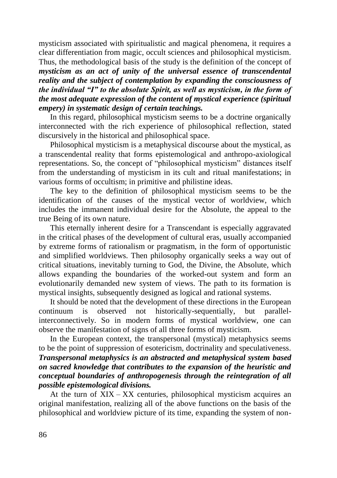mysticism associated with spiritualistic and magical phenomena, it requires a clear differentiation from magic, occult sciences and philosophical mysticism. Thus, the methodological basis of the study is the definition of the concept of *mysticism as an act of unity of the universal essence of transcendental reality and the subject of contemplation by expanding the consciousness of the individual "I" to the absolute Spirit, as well as mysticism, in the form of the most adequate expression of the content of mystical experience (spiritual empery) in systematic design of certain teachings.*

In this regard, philosophical mysticism seems to be a doctrine organically interconnected with the rich experience of philosophical reflection, stated discursively in the historical and philosophical space.

Philosophical mysticism is a metaphysical discourse about the mystical, as a transcendental reality that forms epistemological and anthropo-axiological representations. So, the concept of "philosophical mysticism" distances itself from the understanding of mysticism in its cult and ritual manifestations; in various forms of occultism; in primitive and philistine ideas.

The key to the definition of philosophical mysticism seems to be the identification of the causes of the mystical vector of worldview, which includes the immanent individual desire for the Absolute, the appeal to the true Being of its own nature.

This eternally inherent desire for a Transcendant is especially aggravated in the critical phases of the development of cultural eras, usually accompanied by extreme forms of rationalism or pragmatism, in the form of opportunistic and simplified worldviews. Then philosophy organically seeks a way out of critical situations, inevitably turning to God, the Divine, the Absolute, which allows expanding the boundaries of the worked-out system and form an evolutionarily demanded new system of views. The path to its formation is mystical insights, subsequently designed as logical and rational systems.

It should be noted that the development of these directions in the European continuum is observed not historically-sequentially, but parallelinterconnectively. So in modern forms of mystical worldview, one can observe the manifestation of signs of all three forms of mysticism.

In the European context, the transpersonal (mystical) metaphysics seems to be the point of suppression of esotericism, doctrinality and speculativeness*. Transpersonal metaphysics is an abstracted and metaphysical system based on sacred knowledge that contributes to the expansion of the heuristic and conceptual boundaries of anthropogenesis through the reintegration of all possible epistemological divisions.*

At the turn of  $XIX - XX$  centuries, philosophical mysticism acquires an original manifestation, realizing all of the above functions on the basis of the philosophical and worldview picture of its time, expanding the system of non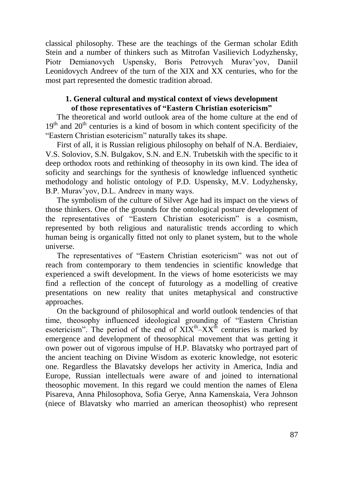classical philosophy. These are the teachings of the German scholar Edith Stein and a number of thinkers such as Mitrofan Vasilievich Lodyzhensky, Piotr Demianovych Uspensky, Boris Petrovych Murav'yov, Daniil Leonidovych Andreev of the turn of the XIX and XX centuries, who for the most part represented the domestic tradition abroad.

# **1. General cultural and mystical context of views development of those representatives of "Eastern Christian esotericism"**

The theoretical and world outlook area of the home culture at the end of  $19<sup>th</sup>$  and  $20<sup>th</sup>$  centuries is a kind of bosom in which content specificity of the "Eastern Christian esotericism" naturally takes its shape.

First of all, it is Russian religious philosophy on behalf of N.A. Berdiaiev, V.S. Soloviov, S.N. Bulgakov, S.N. and E.N. Trubetskih with the specific to it deep orthodox roots and rethinking of theosophy in its own kind. The idea of soficity and searchings for the synthesis of knowledge influenced synthetic methodology and holistic ontology of P.D. Uspensky, M.V. Lodyzhensky, B.P. Murav'yov, D.L. Andreev in many ways.

The symbolism of the culture of Silver Age had its impact on the views of those thinkers. One of the grounds for the ontological posture development of the representatives of "Eastern Christian esotericism" is a cosmism, represented by both religious and naturalistic trends according to which human being is organically fitted not only to planet system, but to the whole universe.

The representatives of "Eastern Christian esotericism" was not out of reach from contemporary to them tendencies in scientific knowledge that experienced a swift development. In the views of home esotericists we may find a reflection of the concept of futurology as a modelling of creative presentations on new reality that unites metaphysical and constructive approaches.

On the background of philosophical and world outlook tendencies of that time, theosophy influenced ideological grounding of "Eastern Christian esotericism". The period of the end of  $XIX^{th} - XX^{th}$  centuries is marked by emergence and development of theosophical movement that was getting it own power out of vigorous impulse of H.P. Blavatsky who portrayed part of the ancient teaching on Divine Wisdom as exoteric knowledge, not esoteric one. Regardless the Blavatsky develops her activity in America, India and Europe, Russian intellectuals were aware of and joined to international theosophic movement. In this regard we could mention the names of Elena Pisareva, Anna Philosophova, Sofia Gerye, Anna Kamenskaia, Vera Johnson (niece of Blavatsky who married an american theosophist) who represent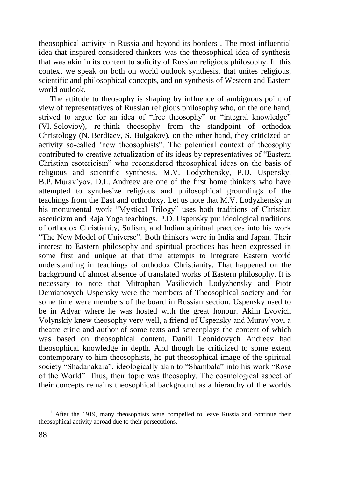theosophical activity in Russia and beyond its borders<sup>1</sup>. The most influential idea that inspired considered thinkers was the theosophical idea of synthesis that was akin in its content to soficity of Russian religious philosophy. In this context we speak on both on world outlook synthesis, that unites religious, scientific and philosophical concepts, and on synthesis of Western and Eastern world outlook.

The attitude to theosophy is shaping by influence of ambiguous point of view of representatives of Russian religious philosophy who, on the one hand, strived to argue for an idea of "free theosophy" or "integral knowledge" (Vl. Soloviov), re-think theosophy from the standpoint of orthodox Christology (N. Berdiaev, S. Bulgakov), on the other hand, they criticized an activity so-called 'new theosophists". The polemical context of theosophy contributed to creative actualization of its ideas by representatives of "Eastern Christian esotericism" who reconsidered theosophical ideas on the basis of religious and scientific synthesis. M.V. Lodyzhensky, P.D. Uspensky, B.P. Murav'yov, D.L. Andreev are one of the first home thinkers who have attempted to synthesize religious and philosophical groundings of the teachings from the East and orthodoxy. Let us note that M.V. Lodyzhensky in his monumental work "Mystical Trilogy" uses both traditions of Christian asceticizm and Raja Yoga teachings. P.D. Uspensky put ideological traditions of orthodox Christianity, Sufism, and Indian spiritual practices into his work "The New Model of Universe". Both thinkers were in India and Japan. Their interest to Eastern philosophy and spiritual practices has been expressed in some first and unique at that time attempts to integrate Eastern world understanding in teachings of orthodox Christianity. That happened on the background of almost absence of translated works of Eastern philosophy. It is necessary to note that Mitrophan Vasilievich Lodyzhensky and Piotr Demianovych Uspensky were the members of Theosophical society and for some time were members of the board in Russian section. Uspensky used to be in Adyar where he was hosted with the great honour. Akim Lvovich Volynskiy knew theosophy very well, a friend of Uspensky and Murav'yov, a theatre critic and author of some texts and screenplays the content of which was based on theosophical content. Daniil Leonidovych Andreev had theosophical knowledge in depth. And though he criticized to some extent contemporary to him theosophists, he put theosophical image of the spiritual society "Shadanakara", ideologically akin to "Shambala" into his work "Rose of the World". Thus, their topic was theosophy. The cosmological aspect of their concepts remains theosophical background as a hierarchy of the worlds

<u>.</u>

<sup>&</sup>lt;sup>1</sup> After the 1919, many theosophists were compelled to leave Russia and continue their theosophical activity abroad due to their persecutions.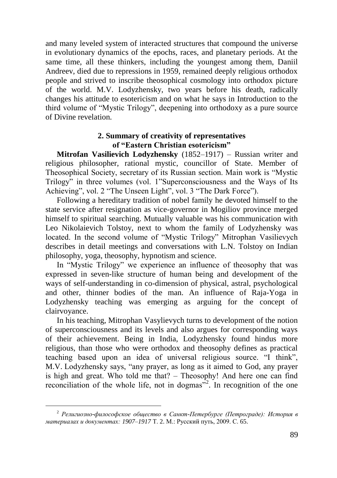and many leveled system of interacted structures that compound the universe in evolutionary dynamics of the epochs, races, and planetary periods. At the same time, all these thinkers, including the youngest among them, Daniil Andreev, died due to repressions in 1959, remained deeply religious orthodox people and strived to inscribe theosophical cosmology into orthodox picture of the world. M.V. Lodyzhensky, two years before his death, radically changes his attitude to esotericism and on what he says in Introduction to the third volume of "Mystic Trilogy", deepening into orthodoxy as a pure source of Divine revelation.

## **2. Summary of creativity of representatives of "Eastern Christian esotericism"**

**Mitrofan Vasilievich Lodyzhensky** (1852–1917) – Russian writer and religious philosopher, rational mystic, councillor of State. Member of Theosophical Society, secretary of its Russian section. Main work is "Mystic Trilogy" in three volumes (vol. 1"Superconsciousness and the Ways of Its Achieving", vol. 2 "The Unseen Light", vol. 3 "The Dark Force").

Following a hereditary tradition of nobel family he devoted himself to the state service after resignation as vice-governor in Mogiliov province merged himself to spiritual searching. Mutually valuable was his communication with Leo Nikolaievich Tolstoy, next to whom the family of Lodyzhensky was located. In the second volume of "Mystic Trilogy" Mitrophan Vasilievych describes in detail meetings and conversations with L.N. Tolstoy on Indian philosophy, yoga, theosophy, hypnotism and science.

In "Mystic Trilogy" we experience an influence of theosophy that was expressed in seven-like structure of human being and development of the ways of self-understanding in co-dimension of physical, astral, psychological and other, thinner bodies of the man. An influence of Raja-Yoga in Lodyzhensky teaching was emerging as arguing for the concept of clairvoyance.

In his teaching, Mitrophan Vasylievych turns to development of the notion of superconsciousness and its levels and also argues for corresponding ways of their achievement. Being in India, Lodyzhensky found hindus more religious, than those who were orthodox and theosophy defines as practical teaching based upon an idea of universal religious source. "I think", M.V. Lodyzhensky says, "any prayer, as long as it aimed to God, any prayer is high and great. Who told me that? – Theosophy! And here one can find reconciliation of the whole life, not in dogmas $\frac{1}{2}$ . In recognition of the one

 $\overline{a}$ 

<sup>2</sup> *Религиозно-философское общество в Санкт-Петербурге (Петрограде): История в материалах и документах: 1907–1917* Т. 2. М.: Русский путь, 2009. С. 65.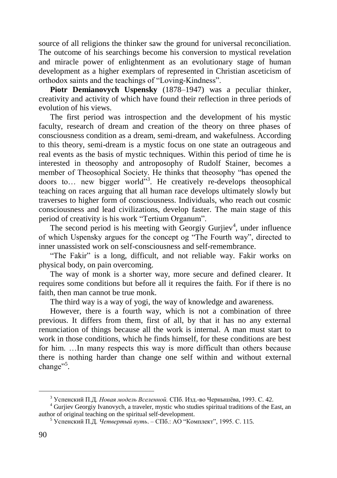source of all religions the thinker saw the ground for universal reconciliation. The outcome of his searchings become his conversion to mystical revelation and miracle power of enlightenment as an evolutionary stage of human development as a higher exemplars of represented in Christian asceticism of orthodox saints and the teachings of "Loving-Kindness".

**Piotr Demianovych Uspensky** (1878–1947) was a peculiar thinker, creativity and activity of which have found their reflection in three periods of evolution of his views.

The first period was introspection and the development of his mystic faculty, research of dream and creation of the theory on three phases of consciousness condition as a dream, semi-dream, and wakefulness. According to this theory, semi-dream is a mystic focus on one state an outrageous and real events as the basis of mystic techniques. Within this period of time he is interested in theosophy and antroposophy of Rudolf Stainer, becomes a member of Theosophical Society. He thinks that theosophy "has opened the doors to... new bigger world"<sup>3</sup>. He creatively re-develops theosophical teaching on races arguing that all human race develops ultimately slowly but traverses to higher form of consciousness. Individuals, who reach out cosmic consciousness and lead civilizations, develop faster. The main stage of this period of creativity is his work "Tertium Organum".

The second period is his meeting with Georgiy Gurjiev<sup>4</sup>, under influence of which Uspensky argues for the concept og "The Fourth way", directed to inner unassisted work on self-consciousness and self-remembrance.

"The Fakir" is a long, difficult, and not reliable way. Fakir works on physical body, on pain overcoming.

The way of monk is a shorter way, more secure and defined clearer. It requires some conditions but before all it requires the faith. For if there is no faith, then man cannot be true monk.

The third way is a way of yogi, the way of knowledge and awareness.

However, there is a fourth way, which is not a combination of three previous. It differs from them, first of all, by that it has no any external renunciation of things because all the work is internal. A man must start to work in those conditions, which he finds himself, for these conditions are best for him. …In many respects this way is more difficult than others because there is nothing harder than change one self within and without external change"<sup>5</sup>.

<u>.</u>

<sup>3</sup> Успенский П.Д. *Новая модель Вселенной.* СПб. Изд.-во Чернышёва, 1993. С. 42.

<sup>4</sup> Gurjiev Georgiy Ivanovych, a traveler, mystic who studies spiritual traditions of the East, an author of original teaching on the spiritual self-development.

<sup>5</sup> Успенский П.Д. *Четвертый путь*. – СПб.: АО "Комплект", 1995. С. 115.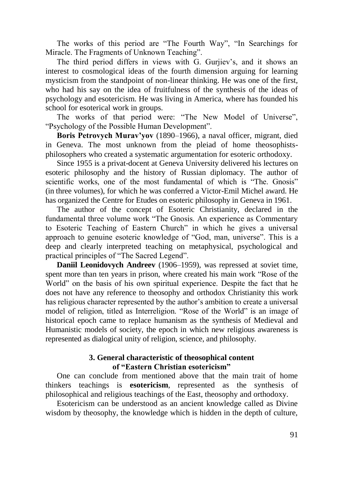The works of this period are "The Fourth Way", "In Searchings for Miracle. The Fragments of Unknown Teaching".

The third period differs in views with G. Gurjiev's, and it shows an interest to cosmological ideas of the fourth dimension arguing for learning mysticism from the standpoint of non-linear thinking. He was one of the first, who had his say on the idea of fruitfulness of the synthesis of the ideas of psychology and esotericism. He was living in America, where has founded his school for esoterical work in groups.

The works of that period were: "The New Model of Universe", "Psychology of the Possible Human Development".

**Boris Petrovych Murav'yov** (1890–1966), a naval officer, migrant, died in Geneva. The most unknown from the pleiad of home theosophistsphilosophers who created a systematic argumentation for esoteric orthodoxy.

Since 1955 is a privat-docent at Geneva University delivered his lectures on esoteric philosophy and the history of Russian diplomacy. The author of scientific works, one of the most fundamental of which is "The. Gnosis" (in three volumes), for which he was conferred a Victor-Emil Michel award. He has organized the Centre for Etudes on esoteric philosophy in Geneva in 1961.

The author of the concept of Esoteric Christianity, declared in the fundamental three volume work "The Gnosis. An experience as Commentary to Esoteric Teaching of Eastern Church" in which he gives a universal approach to genuine esoteric knowledge of "God, man, universe". This is a deep and clearly interpreted teaching on metaphysical, psychological and practical principles of "The Sacred Legend".

**Daniil Leonidovych Andreev** (1906–1959), was repressed at soviet time, spent more than ten years in prison, where created his main work "Rose of the World" on the basis of his own spiritual experience. Despite the fact that he does not have any reference to theosophy and orthodox Christianity this work has religious character represented by the author's ambition to create a universal model of religion, titled as Interreligion. "Rose of the World" is an image of historical epoch came to replace humanism as the synthesis of Medieval and Humanistic models of society, the epoch in which new religious awareness is represented as dialogical unity of religion, science, and philosophy.

## **3. General characteristic of theosophical content of "Eastern Christian esotericism"**

One can conclude from mentioned above that the main trait of home thinkers teachings is **esotericism**, represented as the synthesis of philosophical and religious teachings of the East, theosophy and orthodoxy.

Esotericism can be understood as an ancient knowledge called as Divine wisdom by theosophy, the knowledge which is hidden in the depth of culture,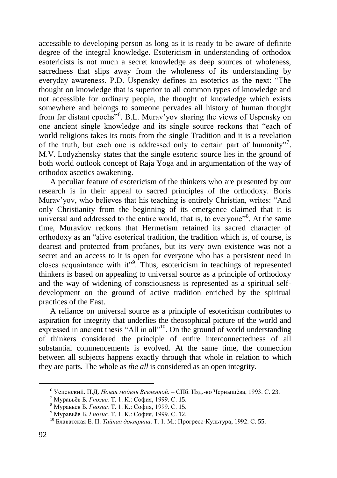accessible to developing person as long as it is ready to be aware of definite degree of the integral knowledge. Esotericism in understanding of orthodox esotericists is not much a secret knowledge as deep sources of wholeness, sacredness that slips away from the wholeness of its understanding by everyday awareness. P.D. Uspensky defines an esoterics as the next: "The thought on knowledge that is superior to all common types of knowledge and not accessible for ordinary people, the thought of knowledge which exists somewhere and belongs to someone pervades all history of human thought from far distant epochs"<sup>6</sup>. B.L. Murav'yov sharing the views of Uspensky on one ancient single knowledge and its single source reckons that "each of world religions takes its roots from the single Tradition and it is a revelation of the truth, but each one is addressed only to certain part of humanity"<sup>7</sup>. М.V. Lodyzhensky states that the single esoteric source lies in the ground of both world outlook concept of Raja Yoga and in argumentation of the way of orthodox ascetics awakening.

A peculiar feature of esotericism of the thinkers who are presented by our research is in their appeal to sacred principles of the orthodoxy. Boris Murav'yov, who believes that his teaching is entirely Christian, writes: "And only Christianity from the beginning of its emergence claimed that it is universal and addressed to the entire world, that is, to everyone"<sup>8</sup>. At the same time, Muraviov reckons that Hermetism retained its sacred character of orthodoxy as an "alive esoterical tradition, the tradition which is, of course, is dearest and protected from profanes, but its very own existence was not a secret and an access to it is open for everyone who has a persistent need in closes acquaintance with it"<sup>9</sup>. Thus, esotericism in teachings of represented thinkers is based on appealing to universal source as a principle of orthodoxy and the way of widening of consciousness is represented as a spiritual selfdevelopment on the ground of active tradition enriched by the spiritual practices of the East.

A reliance on universal source as a principle of esotericism contributes to aspiration for integrity that underlies the theosophical picture of the world and expressed in ancient thesis "All in all"<sup>10</sup>. On the ground of world understanding of thinkers considered the principle of entire interconnectedness of all substantial commencements is evolved. At the same time, the connection between all subjects happens exactly through that whole in relation to which they are parts. The whole as *the all* is considered as an open integrity.

1

<sup>6</sup> Успенский. П.Д. *Новая модель Вселенной.* – СПб. Изд.-во Чернышёва, 1993. С. 23.

<sup>7</sup> Муравьёв Б. *Гнозис.* Т. 1. К.: София, 1999. С. 15.

<sup>8</sup> Муравьёв Б. *Гнозис.* Т. 1. К.: София, 1999. С. 15.

<sup>9</sup> Муравьёв Б. *Гнозис.* Т. 1. К.: София, 1999. С. 12.

<sup>10</sup> Блаватская Е. П. *Тайная доктрина*. Т. 1. М.: Прогресс-Культура, 1992. С. 55.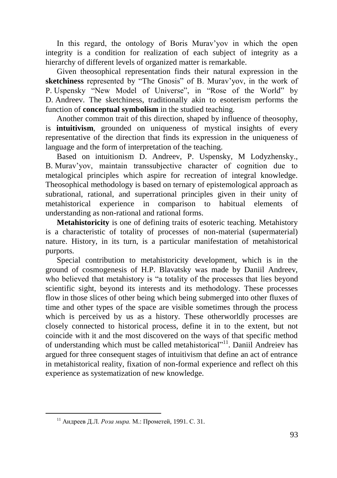In this regard, the ontology of Boris Murav'yov in which the open integrity is a condition for realization of each subject of integrity as a hierarchy of different levels of organized matter is remarkable.

Given theosophical representation finds their natural expression in the **sketchiness** represented by "The Gnosis" of B. Murav'yov, in the work of P. Uspensky "New Model of Universe", in "Rose of the World" by D. Andreev. The sketchiness, traditionally akin to esoterism performs the function of **conceptual symbolism** in the studied teaching.

Another common trait of this direction, shaped by influence of theosophy, is **intuitivism**, grounded on uniqueness of mystical insights of every representative of the direction that finds its expression in the uniqueness of language and the form of interpretation of the teaching.

Based on intuitionism D. Andreev, P. Uspensky, M Lodyzhensky., B. Murav'yov, maintain transsubjective character of cognition due to metalogical principles which aspire for recreation of integral knowledge. Theosophical methodology is based on ternary of epistemological approach as subrational, rational, and superrational principles given in their unity of metahistorical experience in comparison to habitual elements of understanding as non-rational and rational forms.

**Metahistoricity** is one of defining traits of esoteric teaching. Metahistory is a characteristic of totality of processes of non-material (supermaterial) nature. History, in its turn, is a particular manifestation of metahistorical purports.

Special contribution to metahistoricity development, which is in the ground of cosmogenesis of H.P. Blavatsky was made by Daniil Andreev, who believed that metahistory is "a totality of the processes that lies beyond scientific sight, beyond its interests and its methodology. These processes flow in those slices of other being which being submerged into other fluxes of time and other types of the space are visible sometimes through the process which is perceived by us as a history. These otherworldly processes are closely connected to historical process, define it in to the extent, but not coincide with it and the most discovered on the ways of that specific method of understanding which must be called metahistorical"<sup>11</sup>. Daniil Andreiev has argued for three consequent stages of intuitivism that define an act of entrance in metahistorical reality, fixation of non-formal experience and reflect oh this experience as systematization of new knowledge.

<sup>11</sup> Андреев Д.Л. *Роза мира.* М.: Прометей, 1991. С. 31.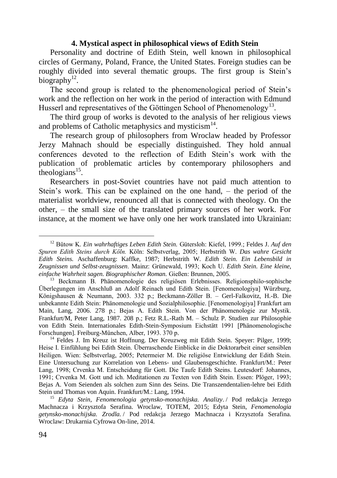### **4. Mystical aspect in philosophical views of Edith Stein**

Personality and doctrine of Edith Stein, well known in philosophical circles of Germany, Poland, France, the United States. Foreign studies can be roughly divided into several thematic groups. The first group is Stein's biography $^{12}$ .

The second group is related to the phenomenological period of Stein's work and the reflection on her work in the period of interaction with Edmund Husserl and representatives of the Göttingen School of Phenomenology<sup>13</sup>.

The third group of works is devoted to the analysis of her religious views and problems of Catholic metaphysics and mysticism<sup>14</sup>.

The research group of philosophers from Wroclaw headed by Professor Jerzy Mahnach should be especially distinguished. They hold annual conferences devoted to the reflection of Edith Stein's work with the publication of problematic articles by contemporary philosophers and theologians $^{15}$ .

Researchers in post-Soviet countries have not paid much attention to Stein's work. This can be explained on the one hand, – the period of the materialist worldview, renounced all that is connected with theology. On the other, – the small size of the translated primary sources of her work. For instance, at the moment we have only one her work translated into Ukrainian:

<u>.</u>

<sup>12</sup> Bütow K. *Ein wahrhaftiges Leben Edith Stein.* Gütersloh: Kiefel, 1999.; Feldes J. *Auf den Spuren Edith Steins durch Köln.* Köln: Selbstverlag, 2005; Herbstrith W. *Das wahre Gesicht Edith Steins.* Aschaffenburg: Kaffke, 1987; Herbstrith W. *Edith Stein. Ein Lebensbild in Zeugnissen und Selbst-zeugnissen*. Mainz: Grünewald, 1993; Koch U. *Edith Stein. Eine kleine, einfache Wahrheit sagen. Biographischer Roman.* Gießen: Brunnen, 2005.

<sup>&</sup>lt;sup>13</sup> Beckmann B. Phänomenologie des religiösen Erlebnisses. Religionsphilo-sophische Überlegungen im Anschluß an Adolf Reinach und Edith Stein. [Fenomenologiya] Würzburg, Königshausen & Neumann, 2003. 332 р.; Beckmann-Zöller B. – Gerl-Falkovitz, H.-B. Die unbekannte Edith Stein: Phänomenologie und Sozialphilosophie. [Fenomenologiya] Frankfurt am Main, Lang, 2006. 278 р.; Bejas A. Edith Stein. Von der Phänomenologie zur Mystik. Frankfurt/M, Peter Lang, 1987. 208 р.; Fetz R.L.-Rath M. – Schulz P. Studien zur Philosophie von Edith Stein. Internationales Edith-Stein-Symposium Eichstätt 1991 [Phänomenologische Forschungen]. Freiburg-München, Alber, 1993. 370 р.

<sup>&</sup>lt;sup>14</sup> Feldes J. Im Kreuz ist Hoffnung. Der Kreuzweg mit Edith Stein. Speyer: Pilger, 1999; Heise I. Einfühlung bei Edith Stein. Überraschende Einblicke in die Doktorarbeit einer sensiblen Heiligen. Wien: Selbstverlag, 2005; Petermeier M. Die religiöse Entwicklung der Edith Stein. Eine Untersuchung zur Korrelation von Lebens- und Glaubensgeschichte. Frankfurt/M.: Peter Lang, 1998; Crvenka M. Entscheidung für Gott. Die Taufe Edith Steins. Leutesdorf: Johannes, 1991; Crvenka M. Gott und ich. Meditationen zu Texten von Edith Stein. Essen: Plöger, 1993; Bejas A. Vom Seienden als solchen zum Sinn des Seins. Die Transzendentalien-lehre bei Edith Stein und Thomas von Aquin. Frankfurt/M.: Lang, 1994.

<sup>15</sup> *Edyta Stein, Fenomenologia getynsko-monachijska. Analizy*. / Pod redakcja Jerzego Machnacza i Krzysztofa Serafina. Wroclaw, TOTEM, 2015; Edyta Stein, *Fenomenologia getynsko-monachijska. Zrodla.* / Pod redakcja Jerzego Machnacza i Krzysztofa Serafina. Wroclaw: Drukarnia Cyfrowa On-line, 2014.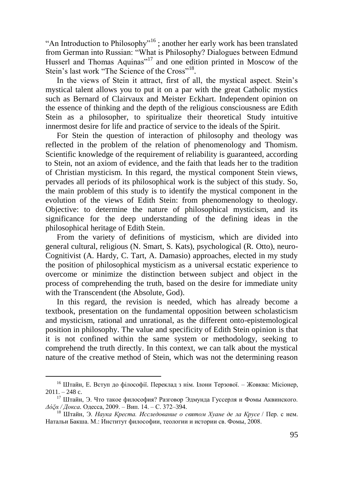"An Introduction to Philosophy"<sup>16</sup> ; another her early work has been translated from German into Russian: "What is Philosophy? Dialogues between Edmund Husserl and Thomas Aquinas"<sup>17</sup> and one edition printed in Moscow of the Stein's last work "The Science of the Cross"<sup>18</sup>.

In the views of Stein it attract, first of all, the mystical aspect. Stein's mystical talent allows you to put it on a par with the great Catholic mystics such as Bernard of Clairvaux and Meister Eckhart. Independent opinion on the essence of thinking and the depth of the religious consciousness are Edith Stein as a philosopher, to spiritualize their theoretical Study intuitive innermost desire for life and practice of service to the ideals of the Spirit.

For Stein the question of interaction of philosophy and theology was reflected in the problem of the relation of phenomenology and Thomism. Scientific knowledge of the requirement of reliability is guaranteed, according to Stein, not an axiom of evidence, and the faith that leads her to the tradition of Christian mysticism. In this regard, the mystical component Stein views, pervades all periods of its philosophical work is the subject of this study. So, the main problem of this study is to identify the mystical component in the evolution of the views of Edith Stein: from phenomenology to theology. Objective: to determine the nature of philosophical mysticism, and its significance for the deep understanding of the defining ideas in the philosophical heritage of Edith Stein.

From the variety of definitions of mysticism, which are divided into general cultural, religious (N. Smart, S. Kats), psychological (R. Otto), neuro-Cognitivist (A. Hardy, C. Tart, A. Damasio) approaches, elected in my study the position of philosophical mysticism as a universal ecstatic experience to overcome or minimize the distinction between subject and object in the process of comprehending the truth, based on the desire for immediate unity with the Transcendent (the Absolute, God).

In this regard, the revision is needed, which has already become a textbook, presentation on the fundamental opposition between scholasticism and mysticism, rational and unrational, as the different onto-epistemological position in philosophy. The value and specificity of Edith Stein opinion is that it is not confined within the same system or methodology, seeking to comprehend the truth directly. In this context, we can talk about the mystical nature of the creative method of Stein, which was not the determining reason

 $\overline{a}$ 

<sup>16</sup> Штайн, Е. Вступ до філософії. Переклад з нім. Ілони Терзової. – Жовква: Місіонер,  $2011. - 248$  c.

<sup>17</sup> Штайн, Э. Что такое философия? Разговор Эдмунда Гуссерля и Фомы Аквинского. *Δόξα / Докса.* Одесса, 2009. – Вип. 14. – С. 372–394.

<sup>18</sup> Штайн, Э. *Наука Креста. Исследование о святом Хуане де ла Крусе* / Пер. с нем. Натальи Бакша. М.: Институт философии, теологии и истории св. Фомы, 2008.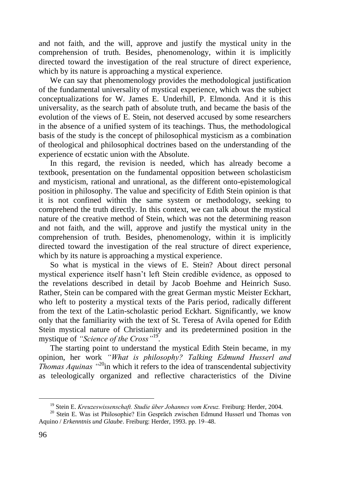and not faith, and the will, approve and justify the mystical unity in the comprehension of truth. Besides, phenomenology, within it is implicitly directed toward the investigation of the real structure of direct experience, which by its nature is approaching a mystical experience.

We can say that phenomenology provides the methodological justification of the fundamental universality of mystical experience, which was the subject conceptualizations for W. James E. Underhill, P. Elmonda. And it is this universality, as the search path of absolute truth, and became the basis of the evolution of the views of E. Stein, not deserved accused by some researchers in the absence of a unified system of its teachings. Thus, the methodological basis of the study is the concept of philosophical mysticism as a combination of theological and philosophical doctrines based on the understanding of the experience of ecstatic union with the Absolute.

In this regard, the revision is needed, which has already become a textbook, presentation on the fundamental opposition between scholasticism and mysticism, rational and unrational, as the different onto-epistemological position in philosophy. The value and specificity of Edith Stein opinion is that it is not confined within the same system or methodology, seeking to comprehend the truth directly. In this context, we can talk about the mystical nature of the creative method of Stein, which was not the determining reason and not faith, and the will, approve and justify the mystical unity in the comprehension of truth. Besides, phenomenology, within it is implicitly directed toward the investigation of the real structure of direct experience, which by its nature is approaching a mystical experience.

So what is mystical in the views of E. Stein? About direct personal mystical experience itself hasn't left Stein credible evidence, as opposed to the revelations described in detail by Jacob Boehme and Heinrich Suso. Rather, Stein can be compared with the great German mystic Meister Eckhart, who left to posterity a mystical texts of the Paris period, radically different from the text of the Latin-scholastic period Eckhart. Significantly, we know only that the familiarity with the text of St. Teresa of Avila opened for Edith Stein mystical nature of Christianity and its predetermined position in the mystique of *"Science of the Cross"*<sup>19</sup> .

The starting point to understand the mystical Edith Stein became, in my opinion, her work *"What is philosophy? Talking Edmund Husserl and Thomas Aquinas "*<sup>20</sup>in which it refers to the idea of transcendental subjectivity as teleologically organized and reflective characteristics of the Divine

<u>.</u>

<sup>19</sup> Stein E. *Kreuzeswissenschaft. Studie über Johannes vom Kreuz.* Freiburg: Herder, 2004.

<sup>20</sup> Stein E. Was ist Philosophie? Ein Gespräch zwischen Edmund Husserl und Thomas von Aquino / *Erkenntnis und Glaube*. Freiburg: Herder, 1993. рр. 19–48.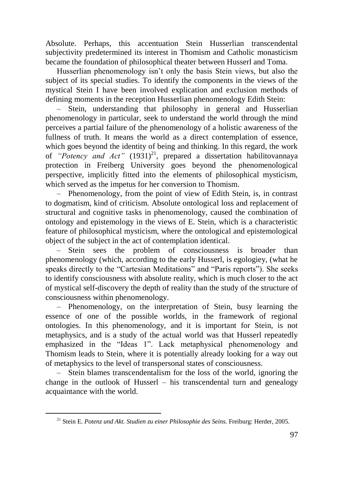Absolute. Perhaps, this accentuation Stein Husserlian transcendental subjectivity predetermined its interest in Thomism and Catholic monasticism became the foundation of philosophical theater between Husserl and Toma.

Husserlian phenomenology isn't only the basis Stein views, but also the subject of its special studies. To identify the components in the views of the mystical Stein I have been involved explication and exclusion methods of defining moments in the reception Husserlian phenomenology Edith Stein:

‒ Stein, understanding that philosophy in general and Husserlian phenomenology in particular, seek to understand the world through the mind perceives a partial failure of the phenomenology of a holistic awareness of the fullness of truth. It means the world as a direct contemplation of essence, which goes beyond the identity of being and thinking. In this regard, the work of *"Potency and Act"* (1931)<sup>21</sup>, prepared a dissertation habilitovannaya protection in Freiberg University goes beyond the phenomenological perspective, implicitly fitted into the elements of philosophical mysticism, which served as the impetus for her conversion to Thomism.

‒ Phenomenology, from the point of view of Edith Stein, is, in contrast to dogmatism, kind of criticism. Absolute ontological loss and replacement of structural and cognitive tasks in phenomenology, caused the combination of ontology and epistemology in the views of E. Stein, which is a characteristic feature of philosophical mysticism, where the ontological and epistemological object of the subject in the act of contemplation identical.

‒ Stein sees the problem of consciousness is broader than phenomenology (which, according to the early Husserl, is egologiey, (what he speaks directly to the "Cartesian Meditations" and "Paris reports"). She seeks to identify consciousness with absolute reality, which is much closer to the act of mystical self-discovery the depth of reality than the study of the structure of consciousness within phenomenology.

‒ Phenomenology, on the interpretation of Stein, busy learning the essence of one of the possible worlds, in the framework of regional ontologies. In this phenomenology, and it is important for Stein, is not metaphysics, and is a study of the actual world was that Husserl repeatedly emphasized in the "Ideas 1". Lack metaphysical phenomenology and Thomism leads to Stein, where it is potentially already looking for a way out of metaphysics to the level of transpersonal states of consciousness.

‒ Stein blames transcendentalism for the loss of the world, ignoring the change in the outlook of Husserl – his transcendental turn and genealogy acquaintance with the world.

<sup>21</sup> Stein E. *Potenz und Akt. Studien zu einer Philosophie des Seins.* Freiburg: Herder, 2005.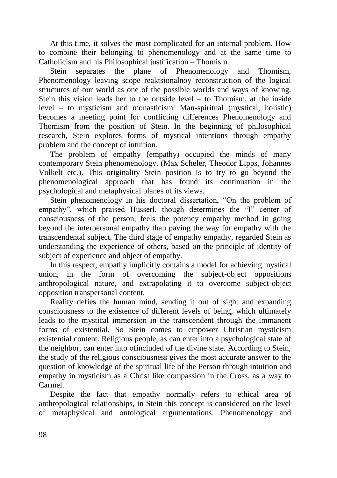At this time, it solves the most complicated for an internal problem. How to combine their belonging to phenomenology and at the same time to Catholicism and his Philosophical justification – Thomism.

Stein separates the plane of Phenomenology and Thomism, Phenomenology leaving scope reaktsionalnoy reconstruction of the logical structures of our world as one of the possible worlds and ways of knowing. Stein this vision leads her to the outside level – to Thomism, at the inside level – to mysticism and monasticism. Man-spiritual (mystical, holistic) becomes a meeting point for conflicting differences Phenomenology and Thomism from the position of Stein. In the beginning of philosophical research, Stein explores forms of mystical intentions through empathy problem and the concept of intuition.

The problem of empathy (empathy) occupied the minds of many contemporary Stein phenomenology. (Max Scheler, Theodor Lipps, Johannes Volkelt etc.). This originality Stein position is to try to go beyond the phenomenological approach that has found its continuation in the psychological and metaphysical planes of its views.

Stein phenomenology in his doctoral dissertation, "On the problem of empathy", which praised Husserl, though determines the "I" center of consciousness of the person, feels the potency empathy method in going beyond the interpersonal empathy than paving the way for empathy with the transcendental subject. The third stage of empathy empathy, regarded Stein as understanding the experience of others, based on the principle of identity of subject of experience and object of empathy.

In this respect, empathy implicitly contains a model for achieving mystical union, in the form of overcoming the subject-object oppositions anthropological nature, and extrapolating it to overcome subject-object opposition transpersonal content.

Reality defies the human mind, sending it out of sight and expanding consciousness to the existence of different levels of being, which ultimately leads to the mystical immersion in the transcendent through the immanent forms of existential. So Stein comes to empower Christian mysticism existential content. Religious people, as can enter into a psychological state of the neighbor, can enter into ofincluded of the divine state. According to Stein, the study of the religious consciousness gives the most accurate answer to the question of knowledge of the spiritual life of the Person through intuition and empathy in mysticism as a Christ like compassion in the Cross, as a way to Carmel.

Despite the fact that empathy normally refers to ethical area of anthropological relationships, in Stein this concept is considered on the level of metaphysical and ontological argumentations. Phenomenology and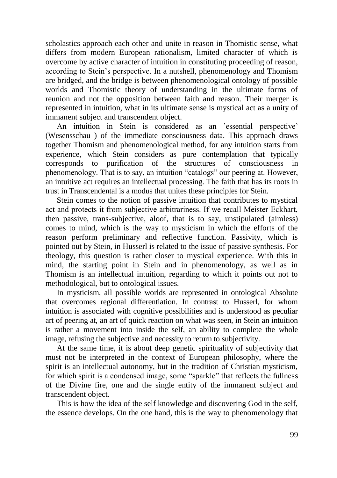scholastics approach each other and unite in reason in Thomistic sense, what differs from modern European rationalism, limited character of which is overcome by active character of intuition in constituting proceeding of reason, according to Stein's perspective. In a nutshell, phenomenology and Thomism are bridged, and the bridge is between phenomenological ontology of possible worlds and Thomistic theory of understanding in the ultimate forms of reunion and not the opposition between faith and reason. Their merger is represented in intuition, what in its ultimate sense is mystical act as a unity of immanent subject and transcendent object.

An intuition in Stein is considered as an 'essential perspective' (Wesensschau ) of the immediate consciousness data. This approach draws together Thomism and phenomenological method, for any intuition starts from experience, which Stein considers as pure contemplation that typically corresponds to purification of the structures of consciousness in phenomenology. That is to say, an intuition "catalogs" our peering at. However, an intuitive act requires an intellectual processing. The faith that has its roots in trust in Transcendental is a modus that unites these principles for Stein.

Stein comes to the notion of passive intuition that contributes to mystical act and protects it from subjective arbitrariness. If we recall Meister Eсkhart, then passive, trans-subjective, aloof, that is to say, unstipulated (aimless) comes to mind, which is the way to mysticism in which the efforts of the reason perform preliminary and reflective function. Passivity, which is pointed out by Stein, in Husserl is related to the issue of passive synthesis. For theology, this question is rather closer to mystical experience. With this in mind, the starting point in Stein and in phenomenology, as well as in Thomism is an intellectual intuition, regarding to which it points out not to methodological, but to ontological issues.

In mysticism, all possible worlds are represented in ontological Absolute that overcomes regional differentiation. In contrast to Husserl, for whom intuition is associated with cognitive possibilities and is understood as peculiar art of peering at, an art of quick reaction on what was seen, in Stein an intuition is rather a movement into inside the self, an ability to complete the whole image, refusing the subjective and necessity to return to subjectivity.

At the same time, it is about deep genetic spirituality of subjectivity that must not be interpreted in the context of European philosophy, where the spirit is an intellectual autonomy, but in the tradition of Christian mysticism, for which spirit is a condensed image, some "sparkle" that reflects the fullness of the Divine fire, one and the single entity of the immanent subject and transcendent object.

This is how the idea of the self knowledge and discovering God in the self, the essence develops. On the one hand, this is the way to phenomenology that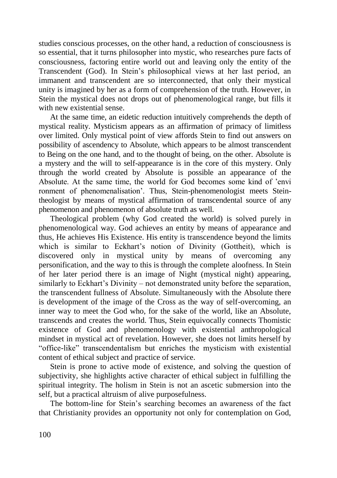studies conscious processes, on the other hand, a reduction of consciousness is so essential, that it turns philosopher into mystic, who researches pure facts of consciousness, factoring entire world out and leaving only the entity of the Transcendent (God). In Stein's philosophical views at her last period, an immanent and transcendent are so interconnected, that only their mystical unity is imagined by her as a form of comprehension of the truth. However, in Stein the mystical does not drops out of phenomenological range, but fills it with new existential sense.

At the same time, an eidetic reduction intuitively comprehends the depth of mystical reality. Mysticism appears as an affirmation of primacy of limitless over limited. Only mystical point of view affords Stein to find out answers on possibility of ascendency to Absolute, which appears to be almost transcendent to Being on the one hand, and to the thought of being, on the other. Absolute is a mystery and the will to self-appearance is in the core of this mystery. Only through the world created by Absolute is possible an appearance of the Absolute. At the same time, the world for God becomes some kind of 'envi ronment of phenomenalisation'. Thus, Stein-phenomenologist meets Steintheologist by means of mystical affirmation of transcendental source of any phenomenon and phenomenon of absolute truth as well.

Theological problem (why God created the world) is solved purely in phenomenological way. God achieves an entity by means of appearance and thus, He achieves His Existence. His entity is transcendence beyond the limits which is similar to Eckhart's notion of Divinity (Gottheit), which is discovered only in mystical unity by means of overcoming any personification, and the way to this is through the complete aloofness. In Stein of her later period there is an image of Night (mystical night) appearing, similarly to Eckhart's Divinity – not demonstrated unity before the separation, the transcendent fullness of Absolute. Simultaneously with the Absolute there is development of the image of the Cross as the way of self-overcoming, an inner way to meet the God who, for the sake of the world, like an Absolute, transcends and creates the world. Thus, Stein equivocally connects Thomistic existence of God and phenomenology with existential anthropological mindset in mystical act of revelation. However, she does not limits herself by "office-like" transcendentalism but enriches the mysticism with existential content of ethical subject and practice of service.

Stein is prone to active mode of existence, and solving the question of subjectivity, she highlights active character of ethical subject in fulfilling the spiritual integrity. The holism in Stein is not an ascetic submersion into the self, but a practical altruism of alive purposefulness.

The bottom-line for Stein's searching becomes an awareness of the fact that Christianity provides an opportunity not only for contemplation on God,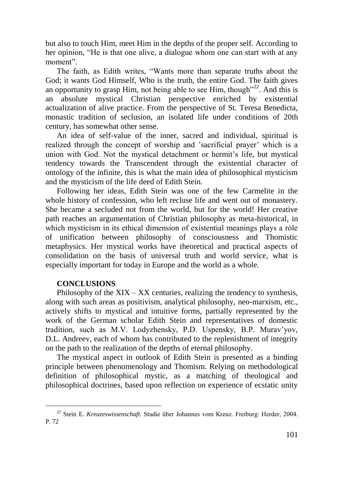but also to touch Him, meet Him in the depths of the proper self. According to her opinion, "He is that one alive, a dialogue whom one can start with at any moment".

The faith, as Edith writes, "Wants more than separate truths about the God; it wants God Himself, Who is the truth, the entire God. The faith gives an opportunity to grasp Him, not being able to see Him, though<sup> $22$ </sup>. And this is an absolute mystical Christian perspective enriched by existential actualization of alive practice. From the perspective of St. Teresa Benedicta, monastic tradition of seclusion, an isolated life under conditions of 20th century, has somewhat other sense.

An idea of self-value of the inner, sacred and individual, spiritual is realized through the concept of worship and 'sacrificial prayer' which is a union with God. Not the mystical detachment or hermit's life, but mystical tendency towards the Transcendent through the existential character of ontology of the infinite, this is what the main idea of philosophical mysticism and the mysticism of the life deed of Edith Stein.

Following her ideas, Edith Stein was one of the few Carmelite in the whole history of confession, who left recluse life and went out of monastery. She became a secluded not from the world, but for the world! Her creative path reaches an argumentation of Christian philosophy as meta-historical, in which mysticism in its ethical dimension of existential meanings plays a ròle of unification between philosophy of consciousness and Thomistic metaphysics. Her mystical works have theoretical and practical aspects of consolidation on the basis of universal truth and world service, what is especially important for today in Europe and the world as a whole.

### **CONCLUSIONS**

 $\overline{a}$ 

Philosophy of the  $XIX - XX$  centuries, realizing the tendency to synthesis, along with such areas as positivism, analytical philosophy, neo-marxism, etc., actively shifts to mystical and intuitive forms, partially represented by the work of the German scholar Edith Stein and representatives of domestic tradition, such as M.V. Lodyzhensky, P.D. Uspensky, B.P. Murav'yov, D.L. Andreev, each of whom has contributed to the replenishment of integrity on the path to the realization of the depths of eternal philosophy.

The mystical aspect in outlook of Edith Stein is presented as a binding principle between phenomenology and Thomism. Relying on methodological definition of philosophical mystic, as a matching of theological and philosophical doctrines, based upon reflection on experience of ecstatic unity

<sup>22</sup> Stein E. *Kreuzeswissenschaft.* Studie über Johannes vom Kreuz. Freiburg: Herder, 2004. P. 72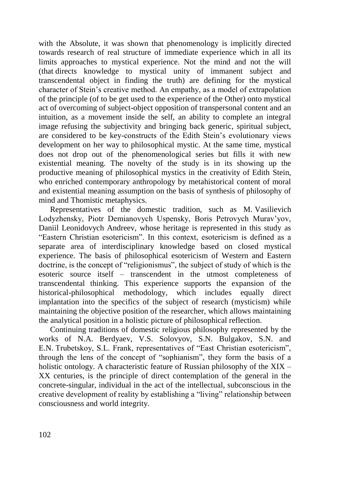with the Absolute, it was shown that phenomenology is implicitly directed towards research of real structure of immediate experience which in all its limits approaches to mystical experience. Not the mind and not the will (that directs knowledge to mystical unity of immanent subject and transcendental object in finding the truth) are defining for the mystical character of Stein's creative method. An empathy, as a model of extrapolation of the principle (of to be get used to the experience of the Other) onto mystical act of overcoming of subject-object opposition of transpersonal content and an intuition, as a movement inside the self, an ability to complete an integral image refusing the subjectivity and bringing back generic, spiritual subject, are considered to be key-constructs of the Edith Stein's evolutionary views development on her way to philosophical mystic. At the same time, mystical does not drop out of the phenomenological series but fills it with new existential meaning. The novelty of the study is in its showing up the productive meaning of philosophical mystics in the creativity of Edith Stein, who enriched contemporary anthropology by metahistorical content of moral and existential meaning assumption on the basis of synthesis of philosophy of mind and Thomistic metaphysics.

Representatives of the domestic tradition, such as M. Vasilievich Lodyzhensky, Piotr Demianovych Uspensky, Boris Petrovych Murav'yov, Daniil Leonidovych Andreev, whose heritage is represented in this study as "Eastern Christian esotericism". In this context, esotericism is defined as a separate area of interdisciplinary knowledge based on closed mystical experience. The basis of philosophical esotericism of Western and Eastern doctrine, is the concept of "religionismus", the subject of study of which is the esoteric source itself – transcendent in the utmost completeness of transcendental thinking. This experience supports the expansion of the historical-philosophical methodology, which includes equally direct implantation into the specifics of the subject of research (mysticism) while maintaining the objective position of the researcher, which allows maintaining the analytical position in a holistic picture of philosophical reflection.

Continuing traditions of domestic religious philosophy represented by the works of N.A. Berdyaev, V.S. Solovyov, S.N. Bulgakov, S.N. and E.N. Trubetskoy, S.L. Frank, representatives of "East Christian esotericism", through the lens of the concept of "sophianism", they form the basis of a holistic ontology. A characteristic feature of Russian philosophy of the  $XIX -$ XX centuries, is the principle of direct contemplation of the general in the concrete-singular, individual in the act of the intellectual, subconscious in the creative development of reality by establishing a "living" relationship between consciousness and world integrity.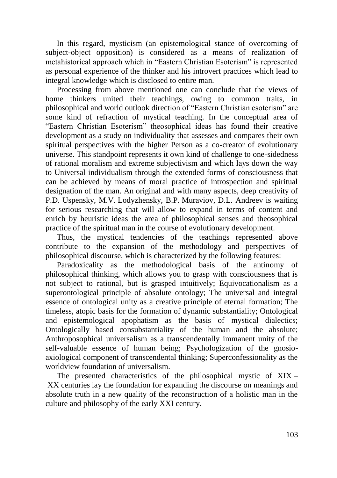In this regard, mysticism (an epistemological stance of overcoming of subject-object opposition) is considered as a means of realization of metahistorical approach which in "Eastern Christian Esoterism" is represented as personal experience of the thinker and his introvert practices which lead to integral knowledge which is disclosed to entire man.

Processing from above mentioned one can conclude that the views of home thinkers united their teachings, owing to common traits, in philosophical and world outlook direction of "Eastern Christian esoterism" are some kind of refraction of mystical teaching. In the conceptual area of "Eastern Christian Esoterism" theosophical ideas has found their creative development as a study on individuality that assesses and compares their own spiritual perspectives with the higher Person as a co-creator of evolutionary universe. This standpoint represents it own kind of challenge to one-sidedness of rational moralism and extreme subjectivism and which lays down the way to Universal individualism through the extended forms of consciousness that can be achieved by means of moral practice of introspection and spiritual designation of the man. An original and with many aspects, deep creativity of P.D. Uspensky, M.V. Lodyzhensky, B.P. Muraviov, D.L. Andreev is waiting for serious researching that will allow to expand in terms of content and enrich by heuristic ideas the area of philosophical senses and theosophical practice of the spiritual man in the course of evolutionary development.

Thus, the mystical tendencies of the teachings represented above contribute to the expansion of the methodology and perspectives of philosophical discourse, which is characterized by the following features:

Paradoxicality as the methodological basis of the antinomy of philosophical thinking, which allows you to grasp with consciousness that is not subject to rational, but is grasped intuitively; Equivocationalism as a superontological principle of absolute ontology; The universal and integral essence of ontological unity as a creative principle of eternal formation; The timeless, atopic basis for the formation of dynamic substantiality; Ontological and epistemological apophatism as the basis of mystical dialectics; Ontologically based consubstantiality of the human and the absolute; Anthroposophical universalism as a transcendentally immanent unity of the self-valuable essence of human being; Psychologization of the gnosioaxiological component of transcendental thinking; Superconfessionality as the worldview foundation of universalism.

The presented characteristics of the philosophical mystic of XIX – XX centuries lay the foundation for expanding the discourse on meanings and absolute truth in a new quality of the reconstruction of a holistic man in the culture and philosophy of the early XXI century.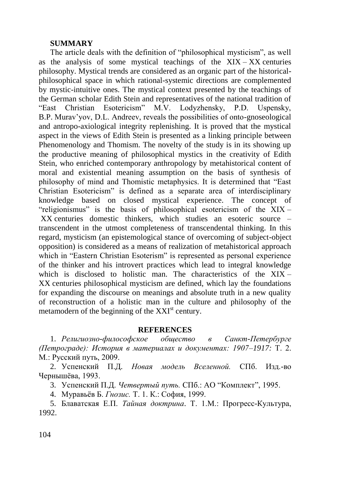#### **SUMMARY**

The article deals with the definition of "philosophical mysticism", as well as the analysis of some mystical teachings of the  $XIX - XX$  centuries philosophy. Mystical trends are considered as an organic part of the historicalphilosophical space in which rational-systemic directions are complemented by mystic-intuitive ones. The mystical context presented by the teachings of the German scholar Edith Stein and representatives of the national tradition of "East Christian Esotericism" M.V. Lodyzhensky, P.D. Uspensky, B.P. Murav'yov, D.L. Andreev, reveals the possibilities of onto-gnoseological and antropo-axiological integrity replenishing. It is proved that the mystical aspect in the views of Edith Stein is presented as a linking principle between Phenomenology and Thomism. The novelty of the study is in its showing up the productive meaning of philosophical mystics in the creativity of Edith Stein, who enriched contemporary anthropology by metahistorical content of moral and existential meaning assumption on the basis of synthesis of philosophy of mind and Thomistic metaphysics. It is determined that "East Christian Esotericism" is defined as a separate area of interdisciplinary knowledge based on closed mystical experience. The concept of "religionismus" is the basis of philosophical esotericism of the XIX – XX centuries domestic thinkers, which studies an esoteric source – transcendent in the utmost completeness of transcendental thinking. In this regard, mysticism (an epistemological stance of overcoming of subject-object opposition) is considered as a means of realization of metahistorical approach which in "Eastern Christian Esoterism" is represented as personal experience of the thinker and his introvert practices which lead to integral knowledge which is disclosed to holistic man. The characteristics of the  $XIX -$ XX centuries philosophical mysticism are defined, which lay the foundations for expanding the discourse on meanings and absolute truth in a new quality of reconstruction of a holistic man in the culture and philosophy of the metamodern of the beginning of the XXI<sup>st</sup> century.

#### **REFERENCES**

1. *Религиозно-философское общество в Санкт-Петербурге (Петрограде): История в материалах и документах: 1907–1917:* Т. 2. М.: Русский путь, 2009.

2. Успенский П.Д*. Новая модель Вселенной.* СПб. Изд.-во Чернышёва, 1993.

3. Успенский П.Д. *Четвертый путь.* СПб.: АО "Комплект", 1995.

4. Муравьёв Б. *Гнозис.* Т. 1. К.: София, 1999.

5. Блаватская Е.П. *Тайная доктрина*. Т. 1.М.: Прогресс-Культура, 1992.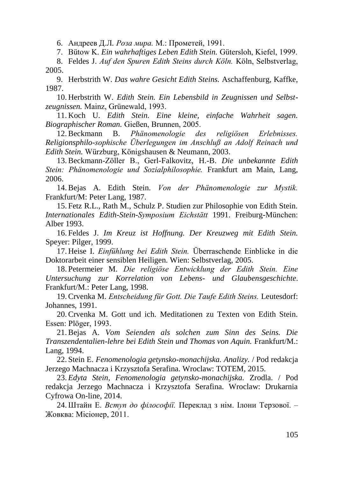6. Андреев Д.Л*. Роза мира.* М.: Прометей, 1991.

7. Bütow K. *Ein wahrhaftiges Leben Edith Stein.* Gütersloh, Kiefel, 1999.

8. Feldes J. *Auf den Spuren Edith Steins durch Köln.* Köln, Selbstverlag, 2005.

9. Herbstrith W. *Das wahre Gesicht Edith Steins.* Aschaffenburg, Kaffke, 1987.

10. Herbstrith W. *Edith Stein. Ein Lebensbild in Zeugnissen und Selbstzeugnissen.* Mainz, Grünewald, 1993.

11. Koch U. *Edith Stein. Eine kleine, einfache Wahrheit sagen. Biographischer Roman.* Gießen, Brunnen, 2005.

12.Beckmann B. *Phänomenologie des religiösen Erlebnisses. Religionsphilo-sophische Überlegungen im Anschluß an Adolf Reinach und Edith Stein.* Würzburg, Königshausen & Neumann, 2003.

13.Beckmann-Zöller B., Gerl-Falkovitz, H.-B. *Die unbekannte Edith Stein: Phänomenologie und Sozialphilosophie.* Frankfurt am Main, Lang, 2006.

14.Bejas A. Edith Stein. *Von der Phänomenologie zur Mystik.* Frankfurt/M: Peter Lang, 1987.

15. Fetz R.L., Rath M., Schulz P. Studien zur Philosophie von Edith Stein. *Internationales Edith-Stein-Symposium Eichstätt* 1991. Freiburg-München: Alber 1993.

16. Feldes J. *Im Kreuz ist Hoffnung. Der Kreuzweg mit Edith Stein.* Speyer: Pilger, 1999.

17. Heise I. *Einfühlung bei Edith Stein.* Überraschende Einblicke in die Doktorarbeit einer sensiblen Heiligen. Wien: Selbstverlag, 2005.

18. Petermeier M. *Die religiöse Entwicklung der Edith Stein. Eine Untersuchung zur Korrelation von Lebens- und Glaubensgeschichte*. Frankfurt/M.: Peter Lang, 1998.

19.Crvenka M. *Entscheidung für Gott. Die Taufe Edith Steins.* Leutesdorf: Johannes, 1991.

20.Crvenka M. Gott und ich. Meditationen zu Texten von Edith Stein. Essen: Plöger, 1993.

21.Bejas A. *Vom Seienden als solchen zum Sinn des Seins. Die Transzendentalien-lehre bei Edith Stein und Thomas von Aquin.* Frankfurt/M.: Lang, 1994.

22. Stein E. *Fenomenologia getynsko-monachijska. Analizy.* / Pod redakcja Jerzego Machnacza i Krzysztofa Serafina. Wroclaw: TOTEM, 2015.

23. *Edyta Stein, Fenomenologia getynsko-monachijska.* Zrodla. / Pod redakcja Jerzego Machnacza i Krzysztofa Serafina. Wroclaw: Drukarnia Cyfrowa On-line, 2014.

24.Штайн Е. *Вступ до філософії.* Переклад з нім. Ілони Терзової. – Жовква: Місіонер, 2011.